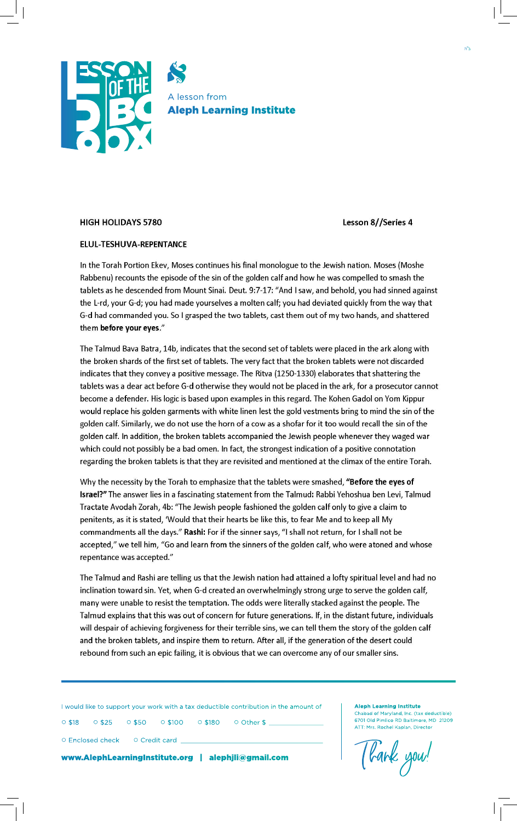

## **HIGH HOLIDAYS 5780**

Lesson 8//Series 4

## ELUL-TESHUVA-REPENTANCE

In the Torah Portion Ekev, Moses continues his final monologue to the Jewish nation. Moses (Moshe Rabbenu) recounts the episode of the sin of the golden calf and how he was compelled to smash the tablets as he descended from Mount Sinai. Deut. 9:7-17: "And I saw, and behold, you had sinned against the L-rd, your G-d; you had made yourselves a molten calf; you had deviated quickly from the way that G-d had commanded you. So I grasped the two tablets, cast them out of my two hands, and shattered them before your eyes."

The Talmud Bava Batra, 14b, indicates that the second set of tablets were placed in the ark along with the broken shards of the first set of tablets. The very fact that the broken tablets were not discarded indicates that they convey a positive message. The Ritva (1250-1330) elaborates that shattering the tablets was a dear act before G-d otherwise they would not be placed in the ark, for a prosecutor cannot become a defender. His logic is based upon examples in this regard. The Kohen Gadol on Yom Kippur would replace his golden garments with white linen lest the gold vestments bring to mind the sin of the golden calf. Similarly, we do not use the horn of a cow as a shofar for it too would recall the sin of the golden calf. In addition, the broken tablets accompanied the Jewish people whenever they waged war which could not possibly be a bad omen. In fact, the strongest indication of a positive connotation regarding the broken tablets is that they are revisited and mentioned at the climax of the entire Torah.

Why the necessity by the Torah to emphasize that the tablets were smashed, "Before the eyes of Israel?" The answer lies in a fascinating statement from the Talmud: Rabbi Yehoshua ben Levi, Talmud Tractate Avodah Zorah, 4b: "The Jewish people fashioned the golden calf only to give a claim to penitents, as it is stated, 'Would that their hearts be like this, to fear Me and to keep all My commandments all the days." Rashi: For if the sinner says, "I shall not return, for I shall not be accepted," we tell him, "Go and learn from the sinners of the golden calf, who were atoned and whose repentance was accepted."

The Talmud and Rashi are telling us that the Jewish nation had attained a lofty spiritual level and had no inclination toward sin. Yet, when G-d created an overwhelmingly strong urge to serve the golden calf, many were unable to resist the temptation. The odds were literally stacked against the people. The Talmud explains that this was out of concern for future generations. If, in the distant future, individuals will despair of achieving forgiveness for their terrible sins, we can tell them the story of the golden calf and the broken tablets, and inspire them to return. After all, if the generation of the desert could rebound from such an epic failing, it is obvious that we can overcome any of our smaller sins.

I would like to support your work with a tax deductible contribution in the amount of

○ \$18 ○ \$25 ○ \$50 ○ \$100 ○ \$180 ○ Other \$ \_\_\_\_\_\_\_\_\_\_\_\_\_\_\_\_\_\_\_\_\_\_\_

○ Enclosed check ○ Credit card \_

www.AlephLearningInstitute.org | alephjli@gmail.com

**Aleph Learning Institute**

Chabad of Maryland, Inc. (tax deductible) 6701 Old Pimlico RD Baltimore, MD 21209 ATT: Mrs. Rochel Kaplan, Director